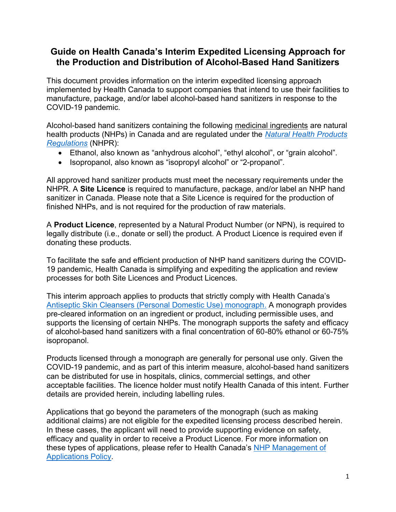## **Guide on Health Canada's Interim Expedited Licensing Approach for the Production and Distribution of Alcohol-Based Hand Sanitizers**

This document provides information on the interim expedited licensing approach implemented by Health Canada to support companies that intend to use their facilities to manufacture, package, and/or label alcohol-based hand sanitizers in response to the COVID-19 pandemic.

Alcohol-based hand sanitizers containing the following medicinal ingredients are natural health products (NHPs) in Canada and are regulated under the *[Natural Health Products](https://laws-lois.justice.gc.ca/eng/regulations/sor-2003-196/)  [Regulations](https://laws-lois.justice.gc.ca/eng/regulations/sor-2003-196/)* (NHPR):

- Ethanol, also known as "anhydrous alcohol", "ethyl alcohol", or "grain alcohol".
- Isopropanol, also known as "isopropyl alcohol" or "2-propanol".

All approved hand sanitizer products must meet the necessary requirements under the NHPR. A **Site Licence** is required to manufacture, package, and/or label an NHP hand sanitizer in Canada. Please note that a Site Licence is required for the production of finished NHPs, and is not required for the production of raw materials.

A **Product Licence**, represented by a Natural Product Number (or NPN), is required to legally distribute (i.e., donate or sell) the product. A Product Licence is required even if donating these products.

To facilitate the safe and efficient production of NHP hand sanitizers during the COVID-19 pandemic, Health Canada is simplifying and expediting the application and review processes for both Site Licences and Product Licences.

This interim approach applies to products that strictly comply with Health Canada's [Antiseptic Skin Cleansers \(Personal Domestic Use\) monograph.](http://webprod.hc-sc.gc.ca/nhpid-bdipsn/atReq.do?atid=antiseptic_antiseptique&lang=eng) A monograph provides pre-cleared information on an ingredient or product, including permissible uses, and supports the licensing of certain NHPs. The monograph supports the safety and efficacy of alcohol-based hand sanitizers with a final concentration of 60-80% ethanol or 60-75% isopropanol.

Products licensed through a monograph are generally for personal use only. Given the COVID-19 pandemic, and as part of this interim measure, alcohol-based hand sanitizers can be distributed for use in hospitals, clinics, commercial settings, and other acceptable facilities. The licence holder must notify Health Canada of this intent. Further details are provided herein, including labelling rules.

Applications that go beyond the parameters of the monograph (such as making additional claims) are not eligible for the expedited licensing process described herein. In these cases, the applicant will need to provide supporting evidence on safety, efficacy and quality in order to receive a Product Licence. For more information on these types of applications, please refer to Health Canada's [NHP Management of](https://www.canada.ca/en/health-canada/services/drugs-health-products/natural-health-products/legislation-guidelines/guidance-documents/management-product-licence-applications-attestations.html)  [Applications](https://www.canada.ca/en/health-canada/services/drugs-health-products/natural-health-products/legislation-guidelines/guidance-documents/management-product-licence-applications-attestations.html) Policy.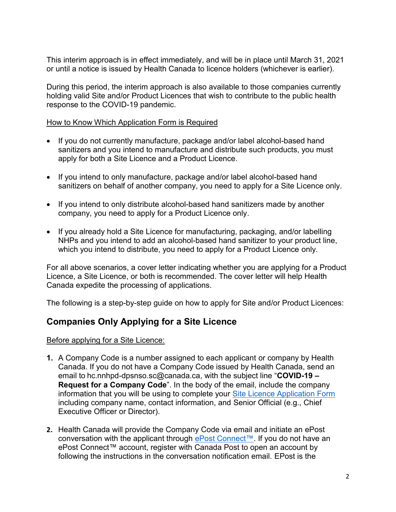This interim approach is in effect immediately, and will be in place until March 31, 2021 or until a notice is issued by Health Canada to licence holders (whichever is earlier).

During this period, the interim approach is also available to those companies currently holding valid Site and/or Product Licences that wish to contribute to the public health response to the COVID-19 pandemic.

#### How to Know Which Application Form is Required

- If you do not currently manufacture, package and/or label alcohol-based hand sanitizers and you intend to manufacture and distribute such products, you must apply for both a Site Licence and a Product Licence.
- If you intend to only manufacture, package and/or label alcohol-based hand sanitizers on behalf of another company, you need to apply for a Site Licence only.
- If you intend to only distribute alcohol-based hand sanitizers made by another company, you need to apply for a Product Licence only.
- If you already hold a Site Licence for manufacturing, packaging, and/or labelling NHPs and you intend to add an alcohol-based hand sanitizer to your product line, which you intend to distribute, you need to apply for a Product Licence only.

For all above scenarios, a cover letter indicating whether you are applying for a Product Licence, a Site Licence, or both is recommended. The cover letter will help Health Canada expedite the processing of applications.

The following is a step-by-step guide on how to apply for Site and/or Product Licences:

## **Companies Only Applying for a Site Licence**

Before applying for a Site Licence:

- **1.** A Company Code is a number assigned to each applicant or company by Health Canada. If you do not have a Company Code issued by Health Canada, send an email to hc.nnhpd-dpsnso.sc@canada.ca, with the subject line "**COVID-19 – Request for a Company Code**". In the body of the email, include the company information that you will be using to complete your [Site Licence Application Form](https://www.canada.ca/en/health-canada/services/drugs-health-products/natural-non-prescription/applications-submissions/site-licensing/forms/site-licence-application-form-site-licensing.html) including company name, contact information, and Senior Official (e.g., Chief Executive Officer or Director).
- **2.** Health Canada will provide the Company Code via email and initiate an ePost conversation with the applicant through ePost [Connect™](https://www.canadapost.ca/cpc/en/business/postal-services/digital-mail/epost-connect.page). If you do not have an ePost Connect™ account, register with Canada Post to open an account by following the instructions in the conversation notification email. EPost is the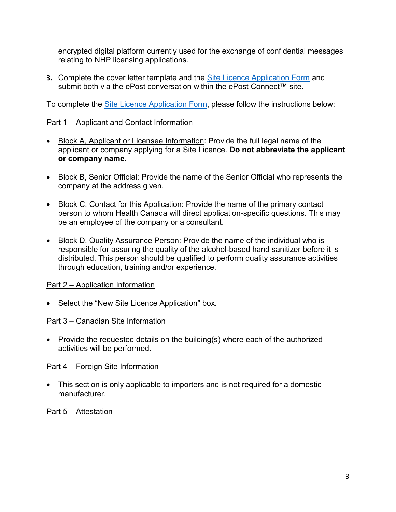encrypted digital platform currently used for the exchange of confidential messages relating to NHP licensing applications.

**3.** Complete the cover letter template and the [Site Licence Application Form](https://www.canada.ca/en/health-canada/services/drugs-health-products/natural-non-prescription/applications-submissions/site-licensing/forms/site-licence-application-form-site-licensing.html) and submit both via the ePost conversation within the ePost Connect™ site.

To complete the [Site Licence Application Form,](https://www.canada.ca/en/health-canada/services/drugs-health-products/natural-non-prescription/applications-submissions/site-licensing/forms/site-licence-application-form-site-licensing.html) please follow the instructions below:

## Part 1 – Applicant and Contact Information

- Block A, Applicant or Licensee Information: Provide the full legal name of the applicant or company applying for a Site Licence. **Do not abbreviate the applicant or company name.**
- Block B, Senior Official: Provide the name of the Senior Official who represents the company at the address given.
- Block C, Contact for this Application: Provide the name of the primary contact person to whom Health Canada will direct application-specific questions. This may be an employee of the company or a consultant.
- Block D, Quality Assurance Person: Provide the name of the individual who is responsible for assuring the quality of the alcohol-based hand sanitizer before it is distributed. This person should be qualified to perform quality assurance activities through education, training and/or experience.

### Part 2 – Application Information

• Select the "New Site Licence Application" box.

### Part 3 – Canadian Site Information

• Provide the requested details on the building(s) where each of the authorized activities will be performed.

### Part 4 – Foreign Site Information

• This section is only applicable to importers and is not required for a domestic manufacturer.

## Part 5 – Attestation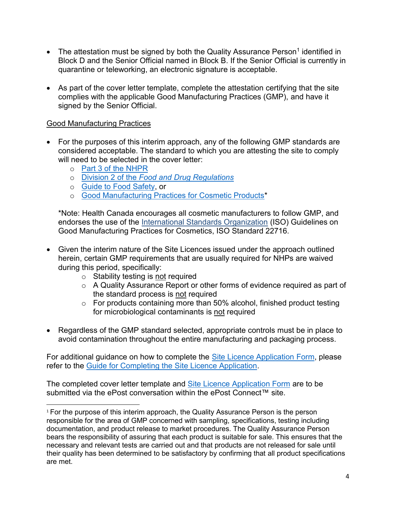- The attestation must be signed by both the Quality Assurance Person<sup>1</sup> identified in Block D and the Senior Official named in Block B. If the Senior Official is currently in quarantine or teleworking, an electronic signature is acceptable.
- As part of the cover letter template, complete the attestation certifying that the site complies with the applicable Good Manufacturing Practices (GMP), and have it signed by the Senior Official.

### Good Manufacturing Practices

 $\overline{\phantom{a}}$ 

- For the purposes of this interim approach, any of the following GMP standards are considered acceptable. The standard to which you are attesting the site to comply will need to be selected in the cover letter:
	- o [Part 3 of the NHPR](https://laws-lois.justice.gc.ca/eng/regulations/SOR-2003-196/page-5.html#h-700670)
	- o Division 2 of the *[Food and Drug Regulations](https://laws-lois.justice.gc.ca/eng/regulations/C.R.C.,_c._870/page-29.html#h-569708)*
	- o [Guide to Food Safety,](https://www.inspection.gc.ca/food-safety-for-industry/archived-food-guidance/non-federally-registered/safe-food-production/guide/eng/1352824546303/1352824822033) or
	- o [Good Manufacturing Practices for Cosmetic Products\\*](https://www.canada.ca/en/health-canada/services/consumer-product-safety/cosmetics/regulatory-information/good-manufacturing-practices.html)

\*Note: Health Canada encourages all cosmetic manufacturers to follow GMP, and endorses the use of the [International Standards Organization](http://www.iso.org/) (ISO) Guidelines on Good Manufacturing Practices for Cosmetics, ISO Standard 22716.

- Given the interim nature of the Site Licences issued under the approach outlined herein, certain GMP requirements that are usually required for NHPs are waived during this period, specifically:
	- $\circ$  Stability testing is not required
	- o A Quality Assurance Report or other forms of evidence required as part of the standard process is not required
	- $\circ$  For products containing more than 50% alcohol, finished product testing for microbiological contaminants is not required
- Regardless of the GMP standard selected, appropriate controls must be in place to avoid contamination throughout the entire manufacturing and packaging process.

For additional guidance on how to complete the [Site Licence Application](https://www.canada.ca/en/health-canada/services/drugs-health-products/natural-non-prescription/applications-submissions/site-licensing/forms/site-licence-application-form-site-licensing.html) Form, please refer to the [Guide for Completing the Site](https://www.canada.ca/en/health-canada/services/drugs-health-products/natural-non-prescription/applications-submissions/site-licensing/forms/guide-completing-site-licence-application-form-site-licensing.html) Licence Application.

The completed cover letter template and [Site Licence Application Form](https://www.canada.ca/en/health-canada/services/drugs-health-products/natural-non-prescription/applications-submissions/site-licensing/forms/site-licence-application-form-site-licensing.html) are to be submitted via the ePost conversation within the ePost Connect™ site

<sup>&</sup>lt;sup>1</sup> For the purpose of this interim approach, the Quality Assurance Person is the person responsible for the area of GMP concerned with sampling, specifications, testing including documentation, and product release to market procedures. The Quality Assurance Person bears the responsibility of assuring that each product is suitable for sale. This ensures that the necessary and relevant tests are carried out and that products are not released for sale until their quality has been determined to be satisfactory by confirming that all product specifications are met.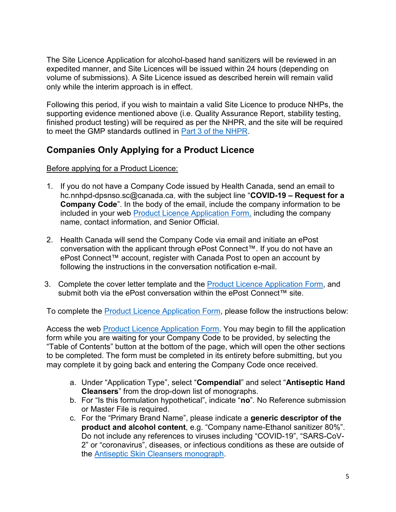The Site Licence Application for alcohol-based hand sanitizers will be reviewed in an expedited manner, and Site Licences will be issued within 24 hours (depending on volume of submissions). A Site Licence issued as described herein will remain valid only while the interim approach is in effect.

Following this period, if you wish to maintain a valid Site Licence to produce NHPs, the supporting evidence mentioned above (i.e. Quality Assurance Report, stability testing, finished product testing) will be required as per the NHPR, and the site will be required to meet the GMP standards outlined in [Part 3 of the NHPR.](https://laws-lois.justice.gc.ca/eng/regulations/SOR-2003-196/page-5.html#h-700670)

# **Companies Only Applying for a Product Licence**

## Before applying for a Product Licence:

- 1. If you do not have a Company Code issued by Health Canada, send an email to hc.nnhpd-dpsnso.sc@canada.ca, with the subject line "**COVID-19 – Request for a Company Code**". In the body of the email, include the company information to be included in your web [Product Licence Application](https://nnhpd-pla-dlmm-dpsnso.hc-sc.gc.ca/pla-dlmm/en/landing) Form, including the company name, contact information, and Senior Official.
- 2. Health Canada will send the Company Code via email and initiate an ePost conversation with the applicant through ePost Connect™. If you do not have an ePost Connect™ account, register with Canada Post to open an account by following the instructions in the conversation notification e-mail.
- 3. Complete the cover letter template and the [Product Licence Application](https://nnhpd-pla-dlmm-dpsnso.hc-sc.gc.ca/pla-dlmm/en/landing) Form, and submit both via the ePost conversation within the ePost Connect™ site.

To complete the [Product Licence Application](https://nnhpd-pla-dlmm-dpsnso.hc-sc.gc.ca/pla-dlmm/en/landing) Form, please follow the instructions below:

Access the web [Product Licence Application](https://nnhpd-pla-dlmm-dpsnso.hc-sc.gc.ca/pla-dlmm/en/landing) Form. You may begin to fill the application form while you are waiting for your Company Code to be provided, by selecting the "Table of Contents" button at the bottom of the page, which will open the other sections to be completed. The form must be completed in its entirety before submitting, but you may complete it by going back and entering the Company Code once received.

- a. Under "Application Type", select "**Compendial**" and select "**Antiseptic Hand Cleansers**" from the drop-down list of monographs.
- b. For "Is this formulation hypothetical", indicate "**no**". No Reference submission or Master File is required.
- c. For the "Primary Brand Name", please indicate a **generic descriptor of the product and alcohol content**, e.g. "Company name-Ethanol sanitizer 80%". Do not include any references to viruses including "COVID-19", "SARS-CoV-2" or "coronavirus", diseases, or infectious conditions as these are outside of the [Antiseptic Skin Cleansers monograph.](http://webprod.hc-sc.gc.ca/nhpid-bdipsn/atReq.do?atid=antiseptic_antiseptique&lang=eng)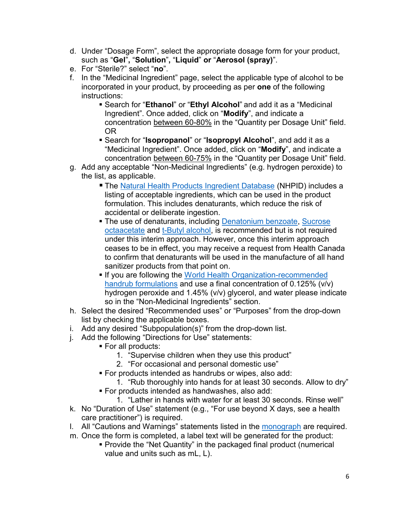- d. Under "Dosage Form", select the appropriate dosage form for your product, such as "**Gel**"**,** "**Solution**"**,** "**Liquid**" **or** "**Aerosol (spray)**".
- e. For "Sterile?" select "**no**".
- f. In the "Medicinal Ingredient" page, select the applicable type of alcohol to be incorporated in your product, by proceeding as per **one** of the following instructions:
	- Search for "**Ethanol**" or "**Ethyl Alcohol**" and add it as a "Medicinal Ingredient". Once added, click on "**Modify**", and indicate a concentration between 60-80% in the "Quantity per Dosage Unit" field. OR
	- Search for "**Isopropanol**" or "**Isopropyl Alcohol**", and add it as a "Medicinal Ingredient". Once added, click on "**Modify**", and indicate a concentration between 60-75% in the "Quantity per Dosage Unit" field.
- g. Add any acceptable "Non-Medicinal Ingredients" (e.g. hydrogen peroxide) to the list, as applicable.
	- The [Natural Health Products Ingredient Database](http://webprod.hc-sc.gc.ca/nhpid-bdipsn/search-rechercheReq.do?lang=eng) (NHPID) includes a listing of acceptable ingredients, which can be used in the product formulation. This includes denaturants, which reduce the risk of accidental or deliberate ingestion.
	- The use of denaturants, including [Denatonium benzoate,](http://was-int-01/nhpid-bdipsn-internal/ingredReq.do?id=917&lang=eng) Sucrose [octaacetate](http://was-int-01/nhpid-bdipsn-internal/ingredReq.do?id=506&lang=eng) and [t-Butyl alcohol,](http://was-int-01/nhpid-bdipsn-internal/ingredReq.do?id=12872&lang=eng) is recommended but is not required under this interim approach. However, once this interim approach ceases to be in effect, you may receive a request from Health Canada to confirm that denaturants will be used in the manufacture of all hand sanitizer products from that point on.
	- If you are following the World Health Organization-recommended [handrub formulations](https://www.who.int/gpsc/5may/Guide_to_Local_Production.pdf) and use a final concentration of 0.125% (v/v) hydrogen peroxide and 1.45% (v/v) glycerol, and water please indicate so in the "Non-Medicinal Ingredients" section.
- h. Select the desired "Recommended uses" or "Purposes" from the drop-down list by checking the applicable boxes.
- i. Add any desired "Subpopulation(s)" from the drop-down list.
- j. Add the following "Directions for Use" statements:
	- For all products:
		- 1. "Supervise children when they use this product"
		- 2. "For occasional and personal domestic use"
	- For products intended as handrubs or wipes, also add:
	- 1. "Rub thoroughly into hands for at least 30 seconds. Allow to dry" ■ For products intended as handwashes, also add:
		- 1. "Lather in hands with water for at least 30 seconds. Rinse well"
- k. No "Duration of Use" statement (e.g., "For use beyond X days, see a health care practitioner") is required.
- l. All "Cautions and Warnings" statements listed in the [monograph](http://webprod.hc-sc.gc.ca/nhpid-bdipsn/atReq.do?atid=antiseptic_antiseptique&lang=eng) are required.
- m. Once the form is completed, a label text will be generated for the product:
	- Provide the "Net Quantity" in the packaged final product (numerical value and units such as mL, L).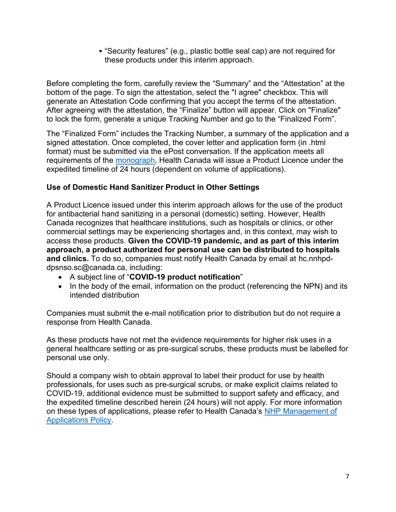"Security features" (e.g., plastic bottle seal cap) are not required for these products under this interim approach.

Before completing the form, carefully review the "Summary" and the "Attestation" at the bottom of the page. To sign the attestation, select the "I agree" checkbox. This will generate an Attestation Code confirming that you accept the terms of the attestation. After agreeing with the attestation, the "Finalize" button will appear. Click on "Finalize" to lock the form, generate a unique Tracking Number and go to the "Finalized Form".

The "Finalized Form" includes the Tracking Number, a summary of the application and a signed attestation. Once completed, the cover letter and application form (in .html format) must be submitted via the ePost conversation. If the application meets all requirements of the [monograph,](http://webprod.hc-sc.gc.ca/nhpid-bdipsn/atReq.do?atid=antiseptic_antiseptique&lang=eng) Health Canada will issue a Product Licence under the expedited timeline of 24 hours (dependent on volume of applications).

## **Use of Domestic Hand Sanitizer Product in Other Settings**

A Product Licence issued under this interim approach allows for the use of the product for antibacterial hand sanitizing in a personal (domestic) setting. However, Health Canada recognizes that healthcare institutions, such as hospitals or clinics, or other commercial settings may be experiencing shortages and, in this context, may wish to access these products. **Given the COVID-19 pandemic, and as part of this interim approach, a product authorized for personal use can be distributed to hospitals and clinics.** To do so, companies must notify Health Canada by email at hc.nnhpddpsnso.sc@canada.ca, including:

- A subject line of "**COVID-19 product notification**"
- In the body of the email, information on the product (referencing the NPN) and its intended distribution

Companies must submit the e-mail notification prior to distribution but do not require a response from Health Canada.

As these products have not met the evidence requirements for higher risk uses in a general healthcare setting or as pre-surgical scrubs, these products must be labelled for personal use only.

Should a company wish to obtain approval to label their product for use by health professionals, for uses such as pre-surgical scrubs, or make explicit claims related to COVID-19, additional evidence must be submitted to support safety and efficacy, and the expedited timeline described herein (24 hours) will not apply. For more information on these types of applications, please refer to Health Canada's [NHP Management of](https://www.canada.ca/en/health-canada/services/drugs-health-products/natural-health-products/legislation-guidelines/guidance-documents/management-product-licence-applications-attestations.html)  [Applications Policy.](https://www.canada.ca/en/health-canada/services/drugs-health-products/natural-health-products/legislation-guidelines/guidance-documents/management-product-licence-applications-attestations.html)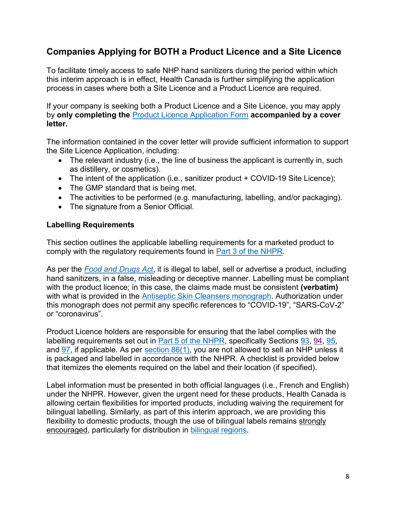# **Companies Applying for BOTH a Product Licence and a Site Licence**

To facilitate timely access to safe NHP hand sanitizers during the period within which this interim approach is in effect, Health Canada is further simplifying the application process in cases where both a Site Licence and a Product Licence are required.

If your company is seeking both a Product Licence and a Site Licence, you may apply by **only completing the** [Product Licence Application](https://nnhpd-pla-dlmm-dpsnso.hc-sc.gc.ca/pla-dlmm/en/landing) Form **accompanied by a cover letter.** 

The information contained in the cover letter will provide sufficient information to support the Site Licence Application, including:

- The relevant industry (i.e., the line of business the applicant is currently in, such as distillery, or cosmetics).
- The intent of the application (i.e., sanitizer product + COVID-19 Site Licence);
- The GMP standard that is being met.
- The activities to be performed (e.g. manufacturing, labelling, and/or packaging).
- The signature from a Senior Official.

#### **Labelling Requirements**

This section outlines the applicable labelling requirements for a marketed product to comply with the regulatory requirements found in [Part 3 of the](https://laws-lois.justice.gc.ca/eng/regulations/sor-2003-196/page-5.html#h-700670) NHPR.

As per the *[Food and Drugs Act](https://laws-lois.justice.gc.ca/eng/acts/F-27/)*, it is illegal to label, sell or advertise a product, including hand sanitizers, in a false, misleading or deceptive manner. Labelling must be compliant with the product licence; in this case, the claims made must be consistent **(verbatim)** with what is provided in the [Antiseptic Skin Cleansers monograph.](http://webprod.hc-sc.gc.ca/nhpid-bdipsn/atReq.do?atid=antiseptic_antiseptique&lang=eng) Authorization under this monograph does not permit any specific references to "COVID-19", "SARS-CoV-2" or "coronavirus".

Product Licence holders are responsible for ensuring that the label complies with the labelling requirements set out in [Part 5 of the NHPR,](https://laws-lois.justice.gc.ca/eng/regulations/SOR-2003-196/page-11.html#h-701030) specifically Sections [93,](https://laws-lois.justice.gc.ca/eng/regulations/SOR-2003-196/page-11.html#h-701036) [94,](https://laws-lois.justice.gc.ca/eng/regulations/SOR-2003-196/page-11.html#h-701088) [95,](https://laws-lois.justice.gc.ca/eng/regulations/SOR-2003-196/page-12.html#h-701107) and  $97$ , if applicable. As per section  $86(1)$ , you are not allowed to sell an NHP unless it is packaged and labelled in accordance with the NHPR. A checklist is provided below that itemizes the elements required on the label and their location (if specified).

Label information must be presented in both official languages (i.e., French and English) under the NHPR. However, given the urgent need for these products, Health Canada is allowing certain flexibilities for imported products, including waiving the requirement for bilingual labelling. Similarly, as part of this interim approach, we are providing this flexibility to domestic products, though the use of bilingual labels remains strongly encouraged, particularly for distribution in [bilingual regions.](https://www.canada.ca/en/treasury-board-secretariat/services/values-ethics/official-languages/list-bilingual-regions-canada-language-of-work-purposes.html#regions)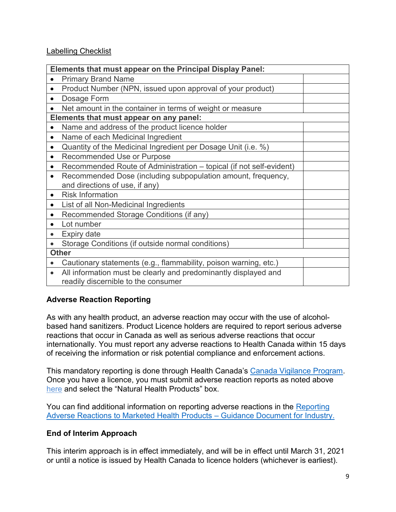### Labelling Checklist

| Elements that must appear on the Principal Display Panel:                        |
|----------------------------------------------------------------------------------|
| <b>Primary Brand Name</b><br>$\bullet$                                           |
| Product Number (NPN, issued upon approval of your product)<br>$\bullet$          |
| Dosage Form<br>$\bullet$                                                         |
| Net amount in the container in terms of weight or measure                        |
| Elements that must appear on any panel:                                          |
| Name and address of the product licence holder                                   |
| Name of each Medicinal Ingredient<br>$\bullet$                                   |
| Quantity of the Medicinal Ingredient per Dosage Unit (i.e. %)<br>$\bullet$       |
| Recommended Use or Purpose<br>$\bullet$                                          |
| Recommended Route of Administration - topical (if not self-evident)<br>$\bullet$ |
| Recommended Dose (including subpopulation amount, frequency,<br>$\bullet$        |
| and directions of use, if any)                                                   |
| <b>Risk Information</b><br>$\bullet$                                             |
| List of all Non-Medicinal Ingredients<br>$\bullet$                               |
| Recommended Storage Conditions (if any)<br>$\bullet$                             |
| Lot number<br>$\bullet$                                                          |
| <b>Expiry date</b><br>$\bullet$                                                  |
| Storage Conditions (if outside normal conditions)                                |
| <b>Other</b>                                                                     |
| Cautionary statements (e.g., flammability, poison warning, etc.)                 |
| All information must be clearly and predominantly displayed and<br>$\bullet$     |
| readily discernible to the consumer                                              |

## **Adverse Reaction Reporting**

As with any health product, an adverse reaction may occur with the use of alcoholbased hand sanitizers. Product Licence holders are required to report serious adverse reactions that occur in Canada as well as serious adverse reactions that occur internationally. You must report any adverse reactions to Health Canada within 15 days of receiving the information or risk potential compliance and enforcement actions.

This mandatory reporting is done through Health Canada's [Canada Vigilance Program.](https://www.canada.ca/en/health-canada/services/drugs-health-products/medeffect-canada/canada-vigilance-program.html) Once you have a licence, you must submit adverse reaction reports as noted above [here](https://www.canada.ca/en/health-canada/services/drugs-health-products/medeffect-canada/adverse-reaction-reporting.html) and select the "Natural Health Products" box.

You can find additional information on reporting adverse reactions in the Reporting [Adverse Reactions to Marketed Health Products](https://www.canada.ca/en/health-canada/services/drugs-health-products/reports-publications/medeffect-canada/reporting-adverse-reactions-marketed-health-products-guidance-industry.html) – Guidance Document for Industry.

### **End of Interim Approach**

This interim approach is in effect immediately, and will be in effect until March 31, 2021 or until a notice is issued by Health Canada to licence holders (whichever is earliest).